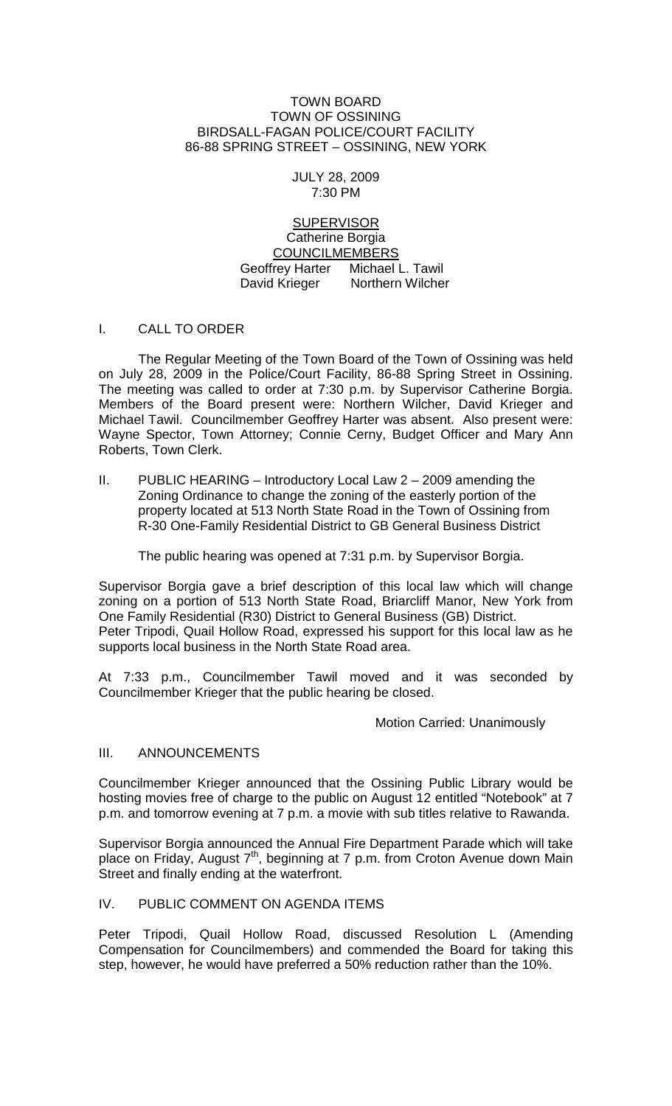## TOWN BOARD TOWN OF OSSINING BIRDSALL-FAGAN POLICE/COURT FACILITY 86-88 SPRING STREET – OSSINING, NEW YORK

# JULY 28, 2009 7:30 PM

**SUPERVISOR** Catherine Borgia COUNCILMEMBERS Geoffrey Harter Michael L. Tawil<br>David Krieger Northern Wilcher Northern Wilcher

# I. CALL TO ORDER

The Regular Meeting of the Town Board of the Town of Ossining was held on July 28, 2009 in the Police/Court Facility, 86-88 Spring Street in Ossining. The meeting was called to order at 7:30 p.m. by Supervisor Catherine Borgia. Members of the Board present were: Northern Wilcher, David Krieger and Michael Tawil. Councilmember Geoffrey Harter was absent. Also present were: Wayne Spector, Town Attorney; Connie Cerny, Budget Officer and Mary Ann Roberts, Town Clerk.

II. PUBLIC HEARING – Introductory Local Law 2 – 2009 amending the Zoning Ordinance to change the zoning of the easterly portion of the property located at 513 North State Road in the Town of Ossining from R-30 One-Family Residential District to GB General Business District

The public hearing was opened at 7:31 p.m. by Supervisor Borgia.

Supervisor Borgia gave a brief description of this local law which will change zoning on a portion of 513 North State Road, Briarcliff Manor, New York from One Family Residential (R30) District to General Business (GB) District. Peter Tripodi, Quail Hollow Road, expressed his support for this local law as he supports local business in the North State Road area.

At 7:33 p.m., Councilmember Tawil moved and it was seconded by Councilmember Krieger that the public hearing be closed.

Motion Carried: Unanimously

## III. ANNOUNCEMENTS

Councilmember Krieger announced that the Ossining Public Library would be hosting movies free of charge to the public on August 12 entitled "Notebook" at 7 p.m. and tomorrow evening at 7 p.m. a movie with sub titles relative to Rawanda.

Supervisor Borgia announced the Annual Fire Department Parade which will take place on Friday, August  $7<sup>th</sup>$ , beginning at 7 p.m. from Croton Avenue down Main Street and finally ending at the waterfront.

# IV. PUBLIC COMMENT ON AGENDA ITEMS

Peter Tripodi, Quail Hollow Road, discussed Resolution L (Amending Compensation for Councilmembers) and commended the Board for taking this step, however, he would have preferred a 50% reduction rather than the 10%.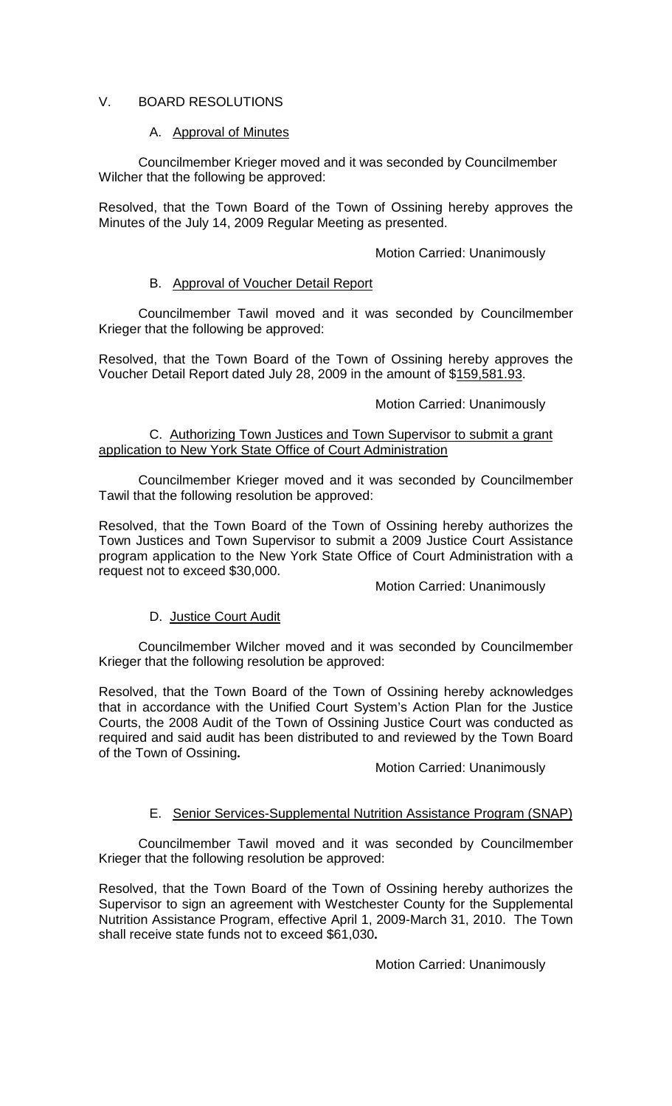# V. BOARD RESOLUTIONS

# A. Approval of Minutes

Councilmember Krieger moved and it was seconded by Councilmember Wilcher that the following be approved:

Resolved, that the Town Board of the Town of Ossining hereby approves the Minutes of the July 14, 2009 Regular Meeting as presented.

## Motion Carried: Unanimously

# B. Approval of Voucher Detail Report

Councilmember Tawil moved and it was seconded by Councilmember Krieger that the following be approved:

Resolved, that the Town Board of the Town of Ossining hereby approves the Voucher Detail Report dated July 28, 2009 in the amount of \$159,581.93.

# Motion Carried: Unanimously

## C. Authorizing Town Justices and Town Supervisor to submit a grant application to New York State Office of Court Administration

Councilmember Krieger moved and it was seconded by Councilmember Tawil that the following resolution be approved:

Resolved, that the Town Board of the Town of Ossining hereby authorizes the Town Justices and Town Supervisor to submit a 2009 Justice Court Assistance program application to the New York State Office of Court Administration with a request not to exceed \$30,000.

Motion Carried: Unanimously

# D. Justice Court Audit

Councilmember Wilcher moved and it was seconded by Councilmember Krieger that the following resolution be approved:

Resolved, that the Town Board of the Town of Ossining hereby acknowledges that in accordance with the Unified Court System's Action Plan for the Justice Courts, the 2008 Audit of the Town of Ossining Justice Court was conducted as required and said audit has been distributed to and reviewed by the Town Board of the Town of Ossining**.**

Motion Carried: Unanimously

# E. Senior Services-Supplemental Nutrition Assistance Program (SNAP)

Councilmember Tawil moved and it was seconded by Councilmember Krieger that the following resolution be approved:

Resolved, that the Town Board of the Town of Ossining hereby authorizes the Supervisor to sign an agreement with Westchester County for the Supplemental Nutrition Assistance Program, effective April 1, 2009-March 31, 2010. The Town shall receive state funds not to exceed \$61,030**.**

Motion Carried: Unanimously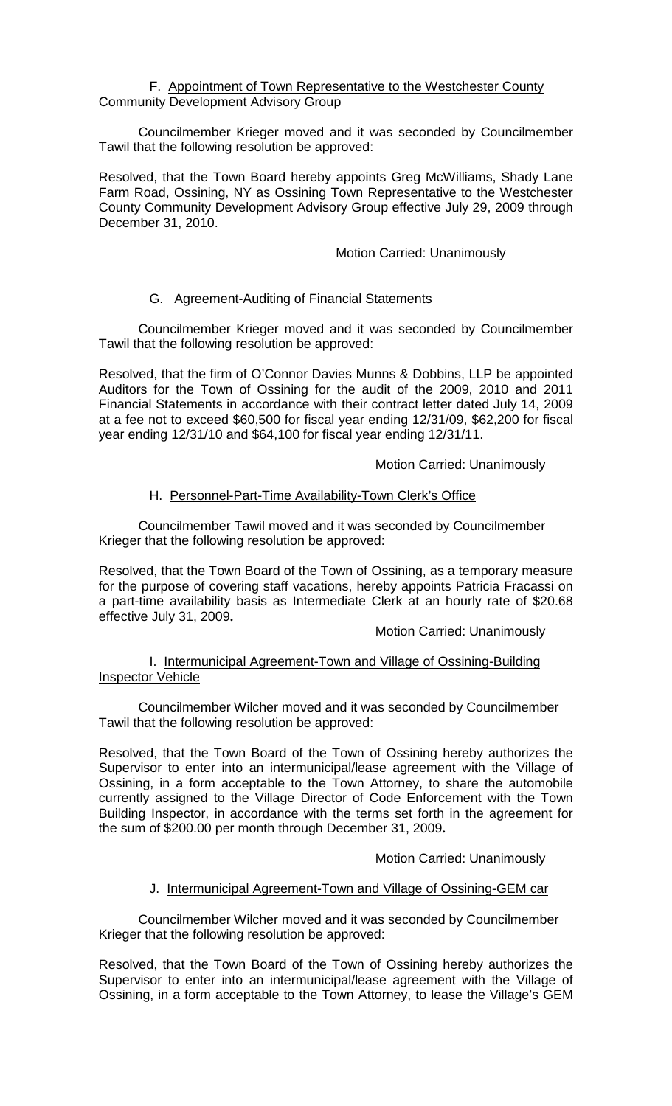## F. Appointment of Town Representative to the Westchester County **Community Development Advisory Group**

Councilmember Krieger moved and it was seconded by Councilmember Tawil that the following resolution be approved:

Resolved, that the Town Board hereby appoints Greg McWilliams, Shady Lane Farm Road, Ossining, NY as Ossining Town Representative to the Westchester County Community Development Advisory Group effective July 29, 2009 through December 31, 2010.

## Motion Carried: Unanimously

# G. Agreement-Auditing of Financial Statements

Councilmember Krieger moved and it was seconded by Councilmember Tawil that the following resolution be approved:

Resolved, that the firm of O'Connor Davies Munns & Dobbins, LLP be appointed Auditors for the Town of Ossining for the audit of the 2009, 2010 and 2011 Financial Statements in accordance with their contract letter dated July 14, 2009 at a fee not to exceed \$60,500 for fiscal year ending 12/31/09, \$62,200 for fiscal year ending 12/31/10 and \$64,100 for fiscal year ending 12/31/11.

Motion Carried: Unanimously

## H. Personnel-Part-Time Availability-Town Clerk's Office

Councilmember Tawil moved and it was seconded by Councilmember Krieger that the following resolution be approved:

Resolved, that the Town Board of the Town of Ossining, as a temporary measure for the purpose of covering staff vacations, hereby appoints Patricia Fracassi on a part-time availability basis as Intermediate Clerk at an hourly rate of \$20.68 effective July 31, 2009**.**

Motion Carried: Unanimously

## I. Intermunicipal Agreement-Town and Village of Ossining-Building Inspector Vehicle

Councilmember Wilcher moved and it was seconded by Councilmember Tawil that the following resolution be approved:

Resolved, that the Town Board of the Town of Ossining hereby authorizes the Supervisor to enter into an intermunicipal/lease agreement with the Village of Ossining, in a form acceptable to the Town Attorney, to share the automobile currently assigned to the Village Director of Code Enforcement with the Town Building Inspector, in accordance with the terms set forth in the agreement for the sum of \$200.00 per month through December 31, 2009**.** 

Motion Carried: Unanimously

## J. Intermunicipal Agreement-Town and Village of Ossining-GEM car

Councilmember Wilcher moved and it was seconded by Councilmember Krieger that the following resolution be approved:

Resolved, that the Town Board of the Town of Ossining hereby authorizes the Supervisor to enter into an intermunicipal/lease agreement with the Village of Ossining, in a form acceptable to the Town Attorney, to lease the Village's GEM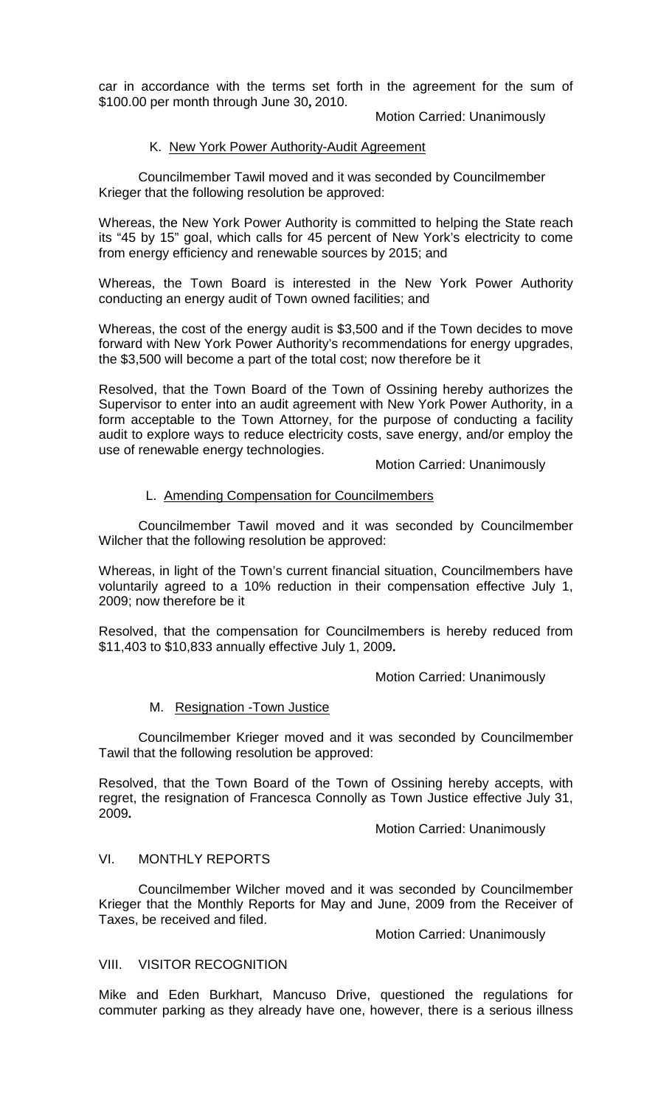car in accordance with the terms set forth in the agreement for the sum of \$100.00 per month through June 30**,** 2010.

Motion Carried: Unanimously

# K. New York Power Authority-Audit Agreement

Councilmember Tawil moved and it was seconded by Councilmember Krieger that the following resolution be approved:

Whereas, the New York Power Authority is committed to helping the State reach its "45 by 15" goal, which calls for 45 percent of New York's electricity to come from energy efficiency and renewable sources by 2015; and

Whereas, the Town Board is interested in the New York Power Authority conducting an energy audit of Town owned facilities; and

Whereas, the cost of the energy audit is \$3,500 and if the Town decides to move forward with New York Power Authority's recommendations for energy upgrades, the \$3,500 will become a part of the total cost; now therefore be it

Resolved, that the Town Board of the Town of Ossining hereby authorizes the Supervisor to enter into an audit agreement with New York Power Authority, in a form acceptable to the Town Attorney, for the purpose of conducting a facility audit to explore ways to reduce electricity costs, save energy, and/or employ the use of renewable energy technologies.

Motion Carried: Unanimously

## L. Amending Compensation for Councilmembers

Councilmember Tawil moved and it was seconded by Councilmember Wilcher that the following resolution be approved:

Whereas, in light of the Town's current financial situation, Councilmembers have voluntarily agreed to a 10% reduction in their compensation effective July 1, 2009; now therefore be it

Resolved, that the compensation for Councilmembers is hereby reduced from \$11,403 to \$10,833 annually effective July 1, 2009**.** 

Motion Carried: Unanimously

## M. Resignation -Town Justice

Councilmember Krieger moved and it was seconded by Councilmember Tawil that the following resolution be approved:

Resolved, that the Town Board of the Town of Ossining hereby accepts, with regret, the resignation of Francesca Connolly as Town Justice effective July 31, 2009**.**

Motion Carried: Unanimously

## VI. MONTHLY REPORTS

Councilmember Wilcher moved and it was seconded by Councilmember Krieger that the Monthly Reports for May and June, 2009 from the Receiver of Taxes, be received and filed.

Motion Carried: Unanimously

## VIII. VISITOR RECOGNITION

Mike and Eden Burkhart, Mancuso Drive, questioned the regulations for commuter parking as they already have one, however, there is a serious illness